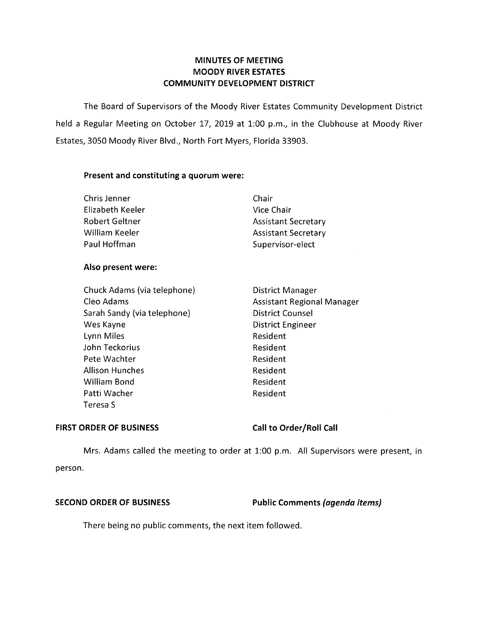# **MINUTES OF MEETING MOODY RIVER ESTATES COMMUNITY DEVELOPMENT DISTRICT**

The Board of Supervisors of the Moody River Estates Community Development District held a Regular Meeting on October 17, 2019 at 1:00 p.m., in the Clubhouse at Moody River Estates, 3050 Moody River Blvd., North Fort Myers, Florida 33903.

### **Present and constituting a quorum were:**

| Chair                      |
|----------------------------|
| Vice Chair                 |
| <b>Assistant Secretary</b> |
| <b>Assistant Secretary</b> |
| Supervisor-elect           |
|                            |

### **Also present were:**

| Chuck Adams (via telephone) | <b>District Manager</b>           |
|-----------------------------|-----------------------------------|
| Cleo Adams                  | <b>Assistant Regional Manager</b> |
| Sarah Sandy (via telephone) | <b>District Counsel</b>           |
| Wes Kayne                   | <b>District Engineer</b>          |
| Lynn Miles                  | Resident                          |
| John Teckorius              | Resident                          |
| Pete Wachter                | Resident                          |
| <b>Allison Hunches</b>      | Resident                          |
| William Bond                | Resident                          |
| Patti Wacher                | Resident                          |
| Teresa S                    |                                   |

### FIRST ORDER OF BUSINESS Call to Order/Roll Call

Mrs. Adams called the meeting to order at 1:00 p.m. All Supervisors were present, in person.

**SECOND ORDER OF BUSINESS Public Comments** *(agenda items)* 

There being no public comments, the next item followed.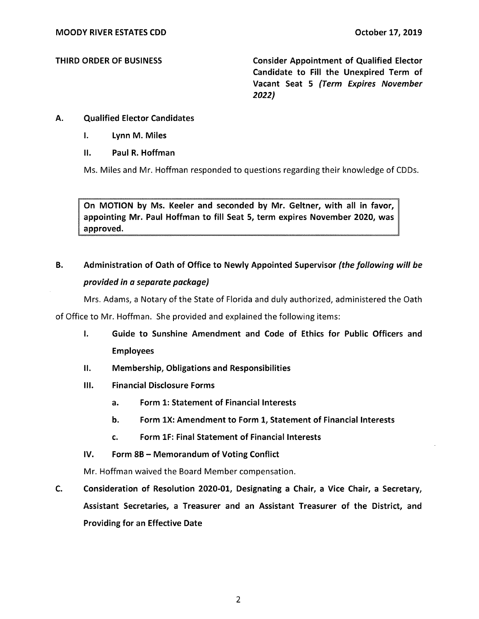THIRD ORDER OF BUSINESS Consider Appointment of Qualified Elector Candidate to Fill the Unexpired Term of Vacant Seat 5 (Term Expires November **2022)** 

# A. Qualified Elector Candidates

- I. Lynn M. Miles
- II. Paul R. Hoffman

Ms. Miles and Mr. Hoffman responded to questions regarding their knowledge of CDDs.

On MOTION by Ms. Keeler and seconded by Mr. Geitner, with all in favor, appointing Mr. Paul Hoffman to fill Seat 5, term expires November 2020, was approved.

# B. Administration of Oath of Office to Newly Appointed Supervisor (the following will be provided in a separate package)

Mrs. Adams, a Notary of the State of Florida and duly authorized, administered the Oath

of Office to Mr. Hoffman. She provided and explained the following items:

- I. Guide to Sunshine Amendment and Code of Ethics for Public Officers and Employees
- II. Membership, Obligations and Responsibilities
- Ill. Financial Disclosure Forms
	- a. Form 1: Statement of Financial Interests
	- b. Form 1X: Amendment to Form 1, Statement of Financial Interests
	- c. Form 1F: Final Statement of Financial Interests
- IV. Form 8B Memorandum of Voting Conflict

Mr. Hoffman waived the Board Member compensation.

C. Consideration of Resolution 2020-01, Designating a Chair, a Vice Chair, a Secretary, Assistant Secretaries, a Treasurer and an Assistant Treasurer of the District, and Providing for an Effective Date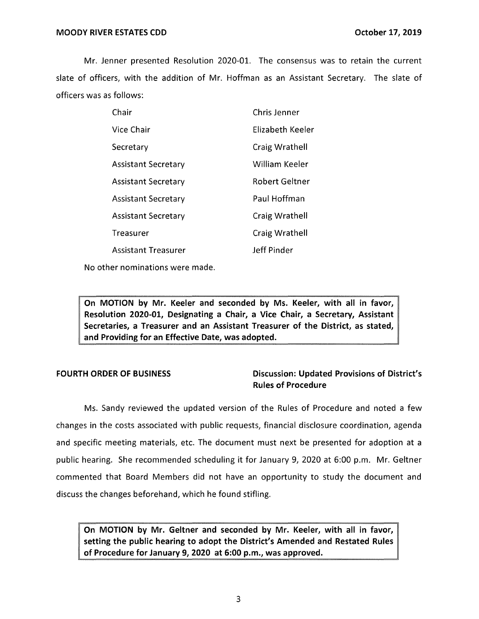#### **MOODY RIVER ESTATES CDD CONSUMING THE STATES OF A SET OCTOBER 17, 2019**

Mr. Jenner presented Resolution 2020-01. The consensus was to retain the current slate of officers, with the addition of Mr. Hoffman as an Assistant Secretary. The slate of officers was as follows:

| Chair                      | Chris Jenner          |
|----------------------------|-----------------------|
| Vice Chair                 | Elizabeth Keeler      |
| Secretary                  | Craig Wrathell        |
| <b>Assistant Secretary</b> | William Keeler        |
| <b>Assistant Secretary</b> | <b>Robert Geltner</b> |
| <b>Assistant Secretary</b> | Paul Hoffman          |
| <b>Assistant Secretary</b> | Craig Wrathell        |
| Treasurer                  | Craig Wrathell        |
| <b>Assistant Treasurer</b> | Jeff Pinder           |

No other nominations were made.

**On MOTION by Mr. Keeler and seconded by Ms. Keeler, with all in favor, Resolution 2020-01, Designating a Chair, a Vice Chair, a Secretary, Assistant Secretaries, a Treasurer and an Assistant Treasurer of the District, as stated, and Providing for an Effective Date, was adopted.** 

# **FOURTH ORDER OF BUSINESS Discussion: Updated Provisions of District's Rules of Procedure**

Ms. Sandy reviewed the updated version of the Rules of Procedure and noted a few changes in the costs associated with public requests, financial disclosure coordination, agenda and specific meeting materials, etc. The document must next be presented for adoption at a public hearing. She recommended scheduling it for January 9, 2020 at 6:00 p.m. Mr. Geitner commented that Board Members did not have an opportunity to study the document and discuss the changes beforehand, which he found stifling.

**On MOTION by Mr. Geitner and seconded by Mr. Keeler, with all in favor, setting the public hearing to adopt the District's Amended and Restated Rules of Procedure for January 9, 2020 at 6:00 p.m., was approved.**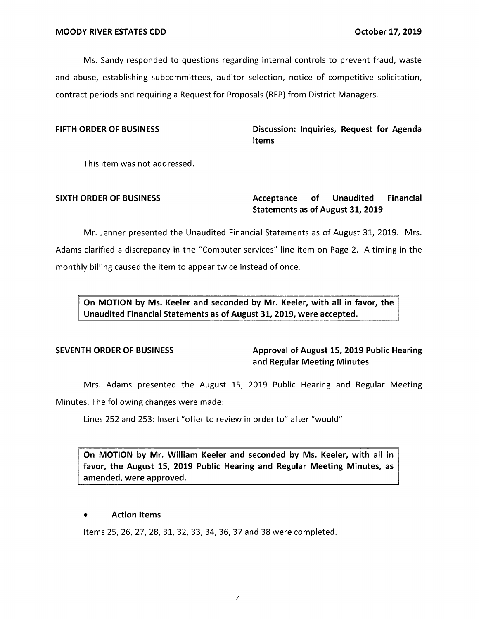Ms. Sandy responded to questions regarding internal controls to prevent fraud, waste and abuse, establishing subcommittees, auditor selection, notice of competitive solicitation, contract periods and requiring a Request for Proposals (RFP) from District Managers.

FIFTH ORDER OF BUSINESS **Discussion: Inquiries, Request for Agenda Items** 

This item was not addressed.

# SIXTH ORDER OF BUSINESS **Acceptance** of Unaudited Financial **Statements as of August 31, 2019**

Mr. Jenner presented the Unaudited Financial Statements as of August 31, 2019. Mrs. Adams clarified a discrepancy in the "Computer services" line item on Page 2. A timing in the monthly billing caused the item to appear twice instead of once.

**On MOTION by Ms. Keeler and seconded by Mr. Keeler, with all in favor, the Unaudited Financial Statements as of August 31, 2019, were accepted.** 

# **SEVENTH ORDER OF BUSINESS Approval of August 15, 2019 Public Hearing and Regular Meeting Minutes**

Mrs. Adams presented the August 15, 2019 Public Hearing and Regular Meeting Minutes. The following changes were made:

Lines 252 and 253: Insert "offer to review in order to" after "would"

**On MOTION by Mr. William Keeler and seconded by Ms. Keeler, with all in favor, the August 15, 2019 Public Hearing and Regular Meeting Minutes, as amended, were approved.** 

### • **Action Items**

Items 25, 26, 27, 28, 31, 32, 33, 34, 36, 37 and 38 were completed.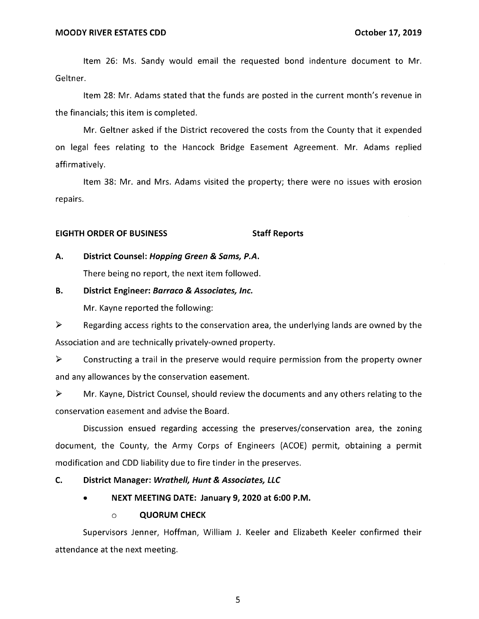Item 26: Ms. Sandy would email the requested bond indenture document to Mr. Geltner.

Item 28: Mr. Adams stated that the funds are posted in the current month's revenue in the financials; this item is completed.

Mr. Geitner asked if the District recovered the costs from the County that it expended on legal fees relating to the Hancock Bridge Easement Agreement. Mr. Adams replied affirmatively.

Item 38: Mr. and Mrs. Adams visited the property; there were no issues with erosion repairs.

#### **EIGHTH ORDER OF BUSINESS STATES STAFF Reports**

### **A. District Counsel: Hopping Green & Sams, P.A.**

There being no report, the next item followed.

## **B. District Engineer: Barraco & Associates, Inc.**

Mr. Kayne reported the following:

 $\triangleright$  Regarding access rights to the conservation area, the underlying lands are owned by the Association and are technically privately-owned property.

 $\triangleright$  Constructing a trail in the preserve would require permission from the property owner and any allowances by the conservation easement.

► Mr. Kayne, District Counsel, should review the documents and any others relating to the conservation easement and advise the Board.

Discussion ensued regarding accessing the preserves/conservation area, the zoning document, the County, the Army Corps of Engineers (ACOE) permit, obtaining a permit modification and COD liability due to fire tinder in the preserves.

#### **C. District Manager: Wrathe/1, Hunt & Associates, LLC**

• **NEXT MEETING DATE: January 9, 2020 at 6:00 P.M.** 

### o **QUORUM CHECK**

Supervisors Jenner, Hoffman, William J. Keeler and Elizabeth Keeler confirmed their attendance at the next meeting.

5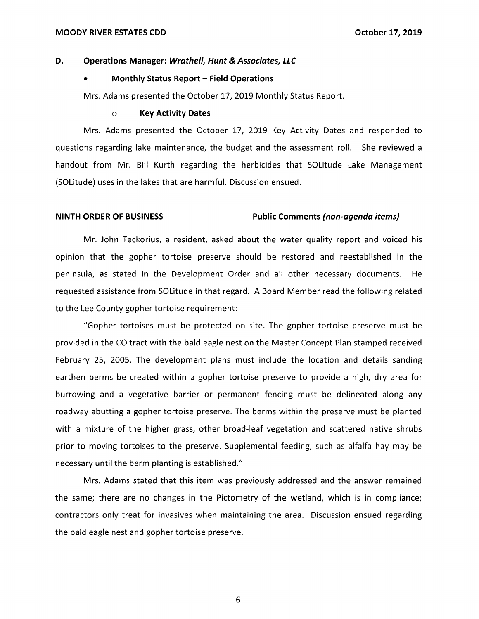## **D.** Operations Manager: Wrathell, Hunt & Associates, LLC

## • **Monthly Status Report - Field Operations**

Mrs. Adams presented the October 17, 2019 Monthly Status Report.

#### o **Key Activity Dates**

Mrs. Adams presented the October 17, 2019 Key Activity Dates and responded to questions regarding lake maintenance, the budget and the assessment roll. She reviewed a handout from Mr. Bill Kurth regarding the herbicides that SOLitude Lake Management (SOLitude) uses in the lakes that are harmful. Discussion ensued.

#### **NINTH ORDER OF BUSINESS Public Comments (non-agenda items)**

Mr. John Teckorius, a resident, asked about the water quality report and voiced his opinion that the gopher tortoise preserve should be restored and reestablished in the peninsula, as stated in the Development Order and all other necessary documents. He requested assistance from SOLitude in that regard. A Board Member read the following related to the Lee County gopher tortoise requirement:

"Gopher tortoises must be protected on site. The gopher tortoise preserve must be provided in the CO tract with the bald eagle nest on the Master Concept Plan stamped received February 25, 2005. The development plans must include the location and details sanding earthen berms be created within a gopher tortoise preserve to provide a high, dry area for burrowing and a vegetative barrier or permanent fencing must be delineated along any roadway abutting a gopher tortoise preserve. The berms within the preserve must be planted with a mixture of the higher grass, other broad-leaf vegetation and scattered native shrubs prior to moving tortoises to the preserve. Supplemental feeding, such as alfalfa hay may be necessary until the berm planting is established."

Mrs. Adams stated that this item was previously addressed and the answer remained the same; there are no changes in the Pictometry of the wetland, which is in compliance; contractors only treat for invasives when maintaining the area. Discussion ensued regarding the bald eagle nest and gopher tortoise preserve.

6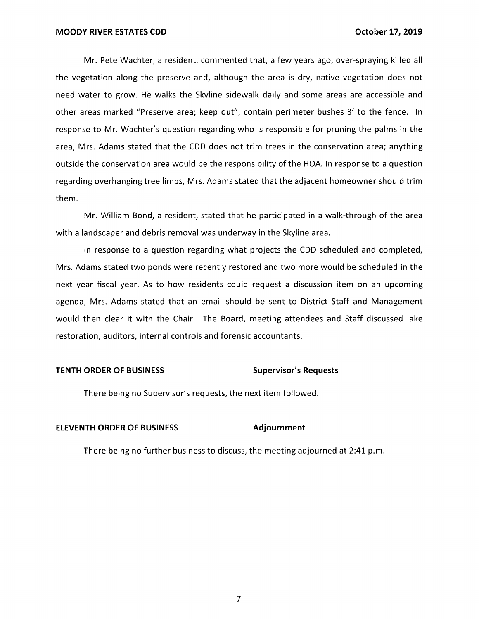Mr. Pete Wachter, a resident, commented that, a few years ago, over-spraying killed all the vegetation along the preserve and, although the area is dry, native vegetation does not need water to grow. He walks the Skyline sidewalk daily and some areas are accessible and other areas marked "Preserve area; keep out", contain perimeter bushes 3' to the fence. In response to Mr. Wachter's question regarding who is responsible for pruning the palms in the area, Mrs. Adams stated that the CDD does not trim trees in the conservation area; anything outside the conservation area would be the responsibility of the HOA. In response to a question regarding overhanging tree limbs, Mrs. Adams stated that the adjacent homeowner should trim them.

Mr. William Bond, a resident, stated that he participated in a walk-through of the area with a landscaper and debris removal was underway in the Skyline area.

In response to a question regarding what projects the CDD scheduled and completed, Mrs. Adams stated two ponds were recently restored and two more would be scheduled in the next year fiscal year. As to how residents could request a discussion item on an upcoming agenda, Mrs. Adams stated that an email should be sent to District Staff and Management would then clear it with the Chair. The Board, meeting attendees and Staff discussed lake restoration, auditors, internal controls and forensic accountants.

#### **TENTH ORDER OF BUSINESS Supervisor's Requests in the Supervisor's Requests of Supervisor's Requests of Supervisor's Requests of Supervisor's Requests of Supervisor's Requests of Supervisor's Requests of Supervisor's Reque**

There being no Supervisor's requests, the next item followed.

#### **ELEVENTH ORDER OF BUSINESS Adjournment**

There being no further business to discuss, the meeting adjourned at 2:41 p.m.

7